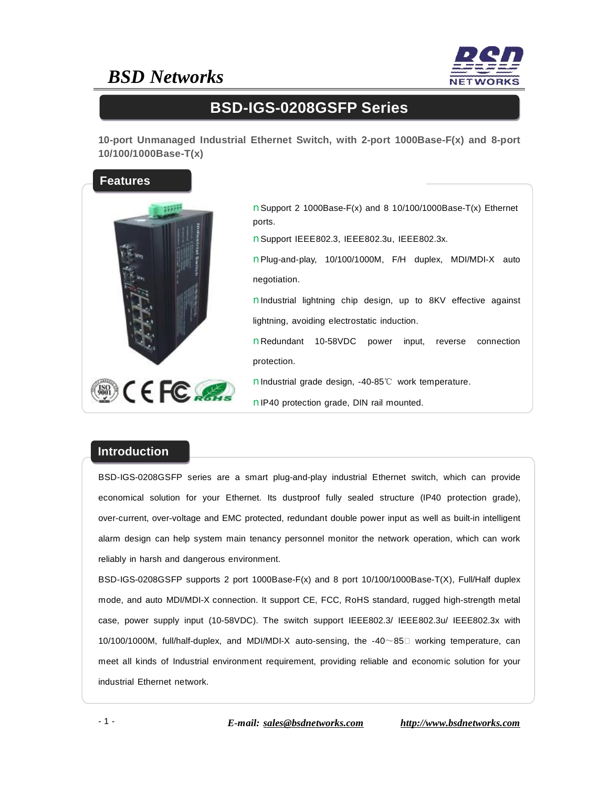## *BSD Networks*



### **BSD-IGS-0208GSFP Series**

**10-port Unmanaged Industrial Ethernet Switch, with 2-port 1000Base-F(x) and 8-port 10/100/1000Base-T(x)** 



nSupport 2 1000Base-F(x) and 8 10/100/1000Base-T(x) Ethernet ports.

nSupport IEEE802.3, IEEE802.3u, IEEE802.3x.

nPlug-and-play, 10/100/1000M, F/H duplex, MDI/MDI-X auto negotiation.

nIndustrial lightning chip design, up to 8KV effective against lightning, avoiding electrostatic induction.

nRedundant 10-58VDC power input, reverse connection protection.

nIndustrial grade design, -40-85℃ work temperature.

nIP40 protection grade, DIN rail mounted.

#### **Introduction**

BSD-IGS-0208GSFP series are a smart plug-and-play industrial Ethernet switch, which can provide economical solution for your Ethernet. Its dustproof fully sealed structure (IP40 protection grade), over-current, over-voltage and EMC protected, redundant double power input as well as built-in intelligent alarm design can help system main tenancy personnel monitor the network operation, which can work reliably in harsh and dangerous environment.

BSD-IGS-0208GSFP supports 2 port 1000Base-F(x) and 8 port 10/100/1000Base-T(X), Full/Half duplex mode, and auto MDI/MDI-X connection. It support CE, FCC, RoHS standard, rugged high-strength metal case, power supply input (10-58VDC). The switch support IEEE802.3/ IEEE802.3u/ IEEE802.3x with 10/100/1000M, full/half-duplex, and MDI/MDI-X auto-sensing, the -40~85℃ working temperature, can meet all kinds of Industrial environment requirement, providing reliable and economic solution for your industrial Ethernet network.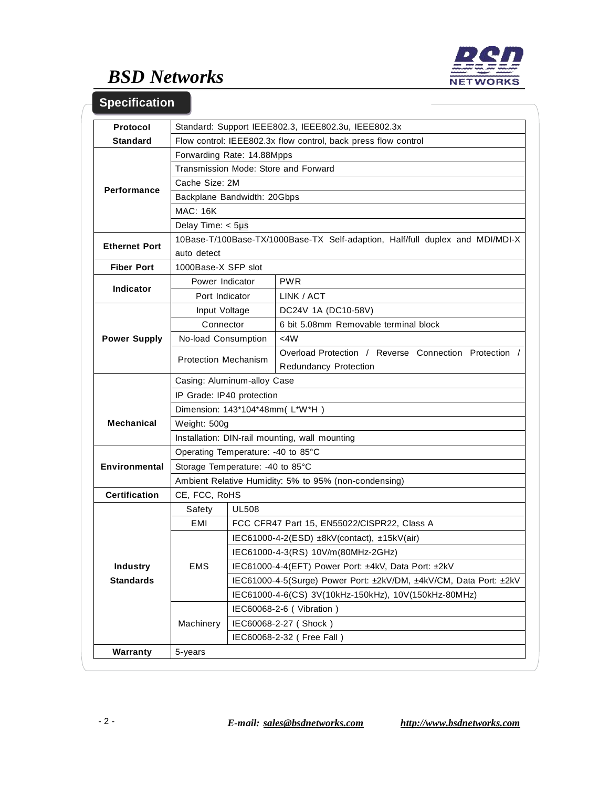

# *BSD Networks*

### **Specification**

| <b>Protocol</b>      | Standard: Support IEEE802.3, IEEE802.3u, IEEE802.3x                           |                                                                   |                                                       |  |
|----------------------|-------------------------------------------------------------------------------|-------------------------------------------------------------------|-------------------------------------------------------|--|
| <b>Standard</b>      | Flow control: IEEE802.3x flow control, back press flow control                |                                                                   |                                                       |  |
| Performance          | Forwarding Rate: 14.88Mpps                                                    |                                                                   |                                                       |  |
|                      | Transmission Mode: Store and Forward                                          |                                                                   |                                                       |  |
|                      | Cache Size: 2M                                                                |                                                                   |                                                       |  |
|                      | Backplane Bandwidth: 20Gbps                                                   |                                                                   |                                                       |  |
|                      | <b>MAC: 16K</b>                                                               |                                                                   |                                                       |  |
|                      | Delay Time: $<$ 5µs                                                           |                                                                   |                                                       |  |
| <b>Ethernet Port</b> | 10Base-T/100Base-TX/1000Base-TX Self-adaption, Half/full duplex and MDI/MDI-X |                                                                   |                                                       |  |
|                      | auto detect                                                                   |                                                                   |                                                       |  |
| <b>Fiber Port</b>    | 1000Base-X SFP slot                                                           |                                                                   |                                                       |  |
| Indicator            | Power Indicator                                                               |                                                                   | <b>PWR</b>                                            |  |
|                      | Port Indicator                                                                |                                                                   | LINK / ACT                                            |  |
| <b>Power Supply</b>  | Input Voltage                                                                 |                                                                   | DC24V 1A (DC10-58V)                                   |  |
|                      | Connector                                                                     |                                                                   | 6 bit 5.08mm Removable terminal block                 |  |
|                      | No-load Consumption                                                           |                                                                   | <4W                                                   |  |
|                      | <b>Protection Mechanism</b>                                                   |                                                                   | Overload Protection / Reverse Connection Protection / |  |
|                      |                                                                               |                                                                   | <b>Redundancy Protection</b>                          |  |
|                      | Casing: Aluminum-alloy Case                                                   |                                                                   |                                                       |  |
|                      | IP Grade: IP40 protection                                                     |                                                                   |                                                       |  |
|                      | Dimension: 143*104*48mm(L*W*H)                                                |                                                                   |                                                       |  |
| <b>Mechanical</b>    | Weight: 500g                                                                  |                                                                   |                                                       |  |
|                      | Installation: DIN-rail mounting, wall mounting                                |                                                                   |                                                       |  |
| <b>Environmental</b> | Operating Temperature: -40 to 85°C                                            |                                                                   |                                                       |  |
|                      | Storage Temperature: -40 to 85°C                                              |                                                                   |                                                       |  |
|                      | Ambient Relative Humidity: 5% to 95% (non-condensing)                         |                                                                   |                                                       |  |
| <b>Certification</b> | CE, FCC, RoHS                                                                 |                                                                   |                                                       |  |
|                      | Safety                                                                        | <b>UL508</b>                                                      |                                                       |  |
|                      | EMI                                                                           | FCC CFR47 Part 15, EN55022/CISPR22, Class A                       |                                                       |  |
|                      | EMS                                                                           | IEC61000-4-2(ESD) $\pm$ 8kV(contact), $\pm$ 15kV(air)             |                                                       |  |
|                      |                                                                               | IEC61000-4-3(RS) 10V/m(80MHz-2GHz)                                |                                                       |  |
| <b>Industry</b>      |                                                                               | IEC61000-4-4(EFT) Power Port: ±4kV, Data Port: ±2kV               |                                                       |  |
| <b>Standards</b>     |                                                                               | IEC61000-4-5(Surge) Power Port: ±2kV/DM, ±4kV/CM, Data Port: ±2kV |                                                       |  |
|                      |                                                                               | IEC61000-4-6(CS) 3V(10kHz-150kHz), 10V(150kHz-80MHz)              |                                                       |  |
|                      | Machinery                                                                     | IEC60068-2-6 (Vibration)                                          |                                                       |  |
|                      |                                                                               | IEC60068-2-27 (Shock)                                             |                                                       |  |
|                      |                                                                               | IEC60068-2-32 ( Free Fall )                                       |                                                       |  |
| Warranty             | 5-years                                                                       |                                                                   |                                                       |  |